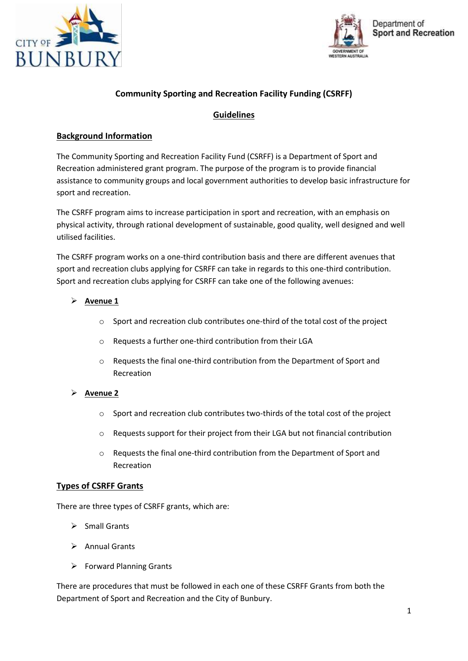



# **Community Sporting and Recreation Facility Funding (CSRFF)**

# **Guidelines**

## **Background Information**

The Community Sporting and Recreation Facility Fund (CSRFF) is a Department of Sport and Recreation administered grant program. The purpose of the program is to provide financial assistance to community groups and local government authorities to develop basic infrastructure for sport and recreation.

The CSRFF program aims to increase participation in sport and recreation, with an emphasis on physical activity, through rational development of sustainable, good quality, well designed and well utilised facilities.

The CSRFF program works on a one-third contribution basis and there are different avenues that sport and recreation clubs applying for CSRFF can take in regards to this one-third contribution. Sport and recreation clubs applying for CSRFF can take one of the following avenues:

## **Avenue 1**

- o Sport and recreation club contributes one-third of the total cost of the project
- o Requests a further one-third contribution from their LGA
- o Requests the final one-third contribution from the Department of Sport and Recreation

## **Avenue 2**

- o Sport and recreation club contributes two-thirds of the total cost of the project
- o Requests support for their project from their LGA but not financial contribution
- o Requests the final one-third contribution from the Department of Sport and Recreation

## **Types of CSRFF Grants**

There are three types of CSRFF grants, which are:

- $\triangleright$  Small Grants
- $\triangleright$  Annual Grants
- $\triangleright$  Forward Planning Grants

There are procedures that must be followed in each one of these CSRFF Grants from both the Department of Sport and Recreation and the City of Bunbury.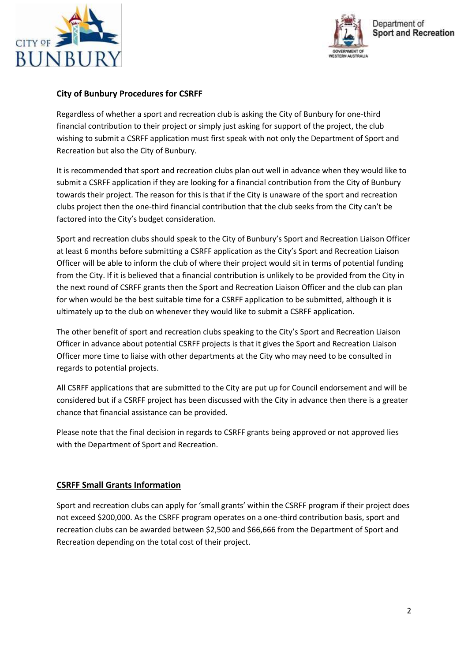



# **City of Bunbury Procedures for CSRFF**

Regardless of whether a sport and recreation club is asking the City of Bunbury for one-third financial contribution to their project or simply just asking for support of the project, the club wishing to submit a CSRFF application must first speak with not only the Department of Sport and Recreation but also the City of Bunbury.

It is recommended that sport and recreation clubs plan out well in advance when they would like to submit a CSRFF application if they are looking for a financial contribution from the City of Bunbury towards their project. The reason for this is that if the City is unaware of the sport and recreation clubs project then the one-third financial contribution that the club seeks from the City can't be factored into the City's budget consideration.

Sport and recreation clubs should speak to the City of Bunbury's Sport and Recreation Liaison Officer at least 6 months before submitting a CSRFF application as the City's Sport and Recreation Liaison Officer will be able to inform the club of where their project would sit in terms of potential funding from the City. If it is believed that a financial contribution is unlikely to be provided from the City in the next round of CSRFF grants then the Sport and Recreation Liaison Officer and the club can plan for when would be the best suitable time for a CSRFF application to be submitted, although it is ultimately up to the club on whenever they would like to submit a CSRFF application.

The other benefit of sport and recreation clubs speaking to the City's Sport and Recreation Liaison Officer in advance about potential CSRFF projects is that it gives the Sport and Recreation Liaison Officer more time to liaise with other departments at the City who may need to be consulted in regards to potential projects.

All CSRFF applications that are submitted to the City are put up for Council endorsement and will be considered but if a CSRFF project has been discussed with the City in advance then there is a greater chance that financial assistance can be provided.

Please note that the final decision in regards to CSRFF grants being approved or not approved lies with the Department of Sport and Recreation.

# **CSRFF Small Grants Information**

Sport and recreation clubs can apply for 'small grants' within the CSRFF program if their project does not exceed \$200,000. As the CSRFF program operates on a one-third contribution basis, sport and recreation clubs can be awarded between \$2,500 and \$66,666 from the Department of Sport and Recreation depending on the total cost of their project.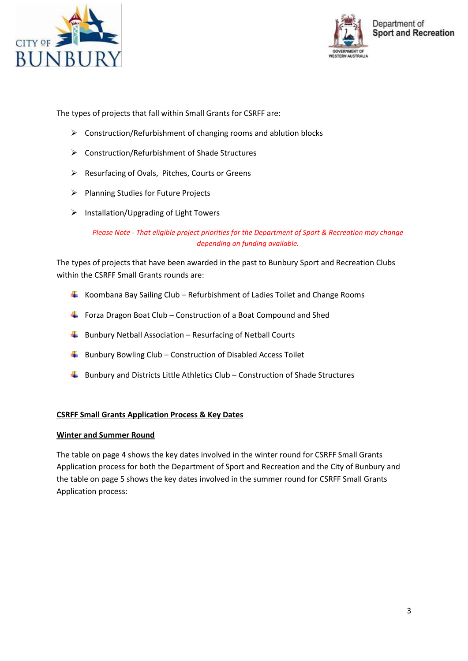



The types of projects that fall within Small Grants for CSRFF are:

- $\triangleright$  Construction/Refurbishment of changing rooms and ablution blocks
- Construction/Refurbishment of Shade Structures
- $\triangleright$  Resurfacing of Ovals, Pitches, Courts or Greens
- Planning Studies for Future Projects
- $\triangleright$  Installation/Upgrading of Light Towers

*Please Note - That eligible project priorities for the Department of Sport & Recreation may change depending on funding available.*

The types of projects that have been awarded in the past to Bunbury Sport and Recreation Clubs within the CSRFF Small Grants rounds are:

- $\ddot$  Koombana Bay Sailing Club Refurbishment of Ladies Toilet and Change Rooms
- Forza Dragon Boat Club Construction of a Boat Compound and Shed
- $\frac{1}{2}$  Bunbury Netball Association Resurfacing of Netball Courts
- $\frac{1}{2}$  Bunbury Bowling Club Construction of Disabled Access Toilet
- $\ddot{+}$  Bunbury and Districts Little Athletics Club Construction of Shade Structures

#### **CSRFF Small Grants Application Process & Key Dates**

#### **Winter and Summer Round**

The table on page 4 shows the key dates involved in the winter round for CSRFF Small Grants Application process for both the Department of Sport and Recreation and the City of Bunbury and the table on page 5 shows the key dates involved in the summer round for CSRFF Small Grants Application process: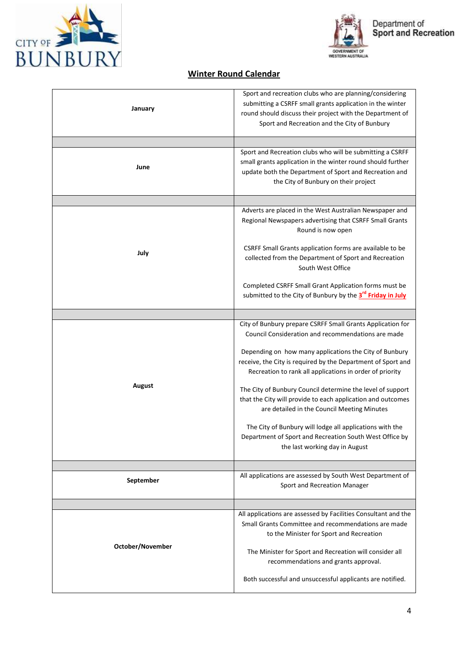



# **Winter Round Calendar**

| January          | Sport and recreation clubs who are planning/considering<br>submitting a CSRFF small grants application in the winter<br>round should discuss their project with the Department of<br>Sport and Recreation and the City of Bunbury |
|------------------|-----------------------------------------------------------------------------------------------------------------------------------------------------------------------------------------------------------------------------------|
|                  |                                                                                                                                                                                                                                   |
| June             | Sport and Recreation clubs who will be submitting a CSRFF<br>small grants application in the winter round should further<br>update both the Department of Sport and Recreation and<br>the City of Bunbury on their project        |
|                  |                                                                                                                                                                                                                                   |
| July             | Adverts are placed in the West Australian Newspaper and<br>Regional Newspapers advertising that CSRFF Small Grants<br>Round is now open                                                                                           |
|                  | CSRFF Small Grants application forms are available to be<br>collected from the Department of Sport and Recreation<br>South West Office                                                                                            |
|                  | Completed CSRFF Small Grant Application forms must be<br>submitted to the City of Bunbury by the 3 <sup>rd</sup> Friday in July                                                                                                   |
|                  |                                                                                                                                                                                                                                   |
| August           | City of Bunbury prepare CSRFF Small Grants Application for<br>Council Consideration and recommendations are made                                                                                                                  |
|                  | Depending on how many applications the City of Bunbury<br>receive, the City is required by the Department of Sport and<br>Recreation to rank all applications in order of priority                                                |
|                  | The City of Bunbury Council determine the level of support<br>that the City will provide to each application and outcomes<br>are detailed in the Council Meeting Minutes                                                          |
|                  | The City of Bunbury will lodge all applications with the<br>Department of Sport and Recreation South West Office by<br>the last working day in August                                                                             |
|                  |                                                                                                                                                                                                                                   |
| September        | All applications are assessed by South West Department of<br>Sport and Recreation Manager                                                                                                                                         |
|                  |                                                                                                                                                                                                                                   |
| October/November | All applications are assessed by Facilities Consultant and the<br>Small Grants Committee and recommendations are made<br>to the Minister for Sport and Recreation                                                                 |
|                  | The Minister for Sport and Recreation will consider all<br>recommendations and grants approval.                                                                                                                                   |
|                  | Both successful and unsuccessful applicants are notified.                                                                                                                                                                         |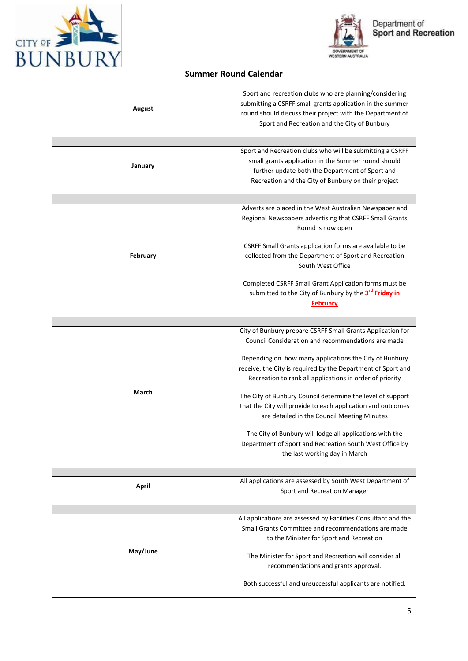



# **Summer Round Calendar**

| August   | Sport and recreation clubs who are planning/considering<br>submitting a CSRFF small grants application in the summer<br>round should discuss their project with the Department of<br>Sport and Recreation and the City of Bunbury                                                                      |
|----------|--------------------------------------------------------------------------------------------------------------------------------------------------------------------------------------------------------------------------------------------------------------------------------------------------------|
|          |                                                                                                                                                                                                                                                                                                        |
| January  | Sport and Recreation clubs who will be submitting a CSRFF<br>small grants application in the Summer round should<br>further update both the Department of Sport and<br>Recreation and the City of Bunbury on their project                                                                             |
|          |                                                                                                                                                                                                                                                                                                        |
| February | Adverts are placed in the West Australian Newspaper and<br>Regional Newspapers advertising that CSRFF Small Grants<br>Round is now open                                                                                                                                                                |
|          | CSRFF Small Grants application forms are available to be<br>collected from the Department of Sport and Recreation<br>South West Office                                                                                                                                                                 |
|          | Completed CSRFF Small Grant Application forms must be<br>submitted to the City of Bunbury by the 3 <sup>rd</sup> Friday in<br><b>February</b>                                                                                                                                                          |
|          |                                                                                                                                                                                                                                                                                                        |
| March    | City of Bunbury prepare CSRFF Small Grants Application for<br>Council Consideration and recommendations are made<br>Depending on how many applications the City of Bunbury<br>receive, the City is required by the Department of Sport and<br>Recreation to rank all applications in order of priority |
|          | The City of Bunbury Council determine the level of support<br>that the City will provide to each application and outcomes<br>are detailed in the Council Meeting Minutes                                                                                                                               |
|          | The City of Bunbury will lodge all applications with the<br>Department of Sport and Recreation South West Office by<br>the last working day in March                                                                                                                                                   |
| April    | All applications are assessed by South West Department of<br>Sport and Recreation Manager                                                                                                                                                                                                              |
|          |                                                                                                                                                                                                                                                                                                        |
| May/June | All applications are assessed by Facilities Consultant and the<br>Small Grants Committee and recommendations are made<br>to the Minister for Sport and Recreation                                                                                                                                      |
|          | The Minister for Sport and Recreation will consider all<br>recommendations and grants approval.                                                                                                                                                                                                        |
|          | Both successful and unsuccessful applicants are notified.                                                                                                                                                                                                                                              |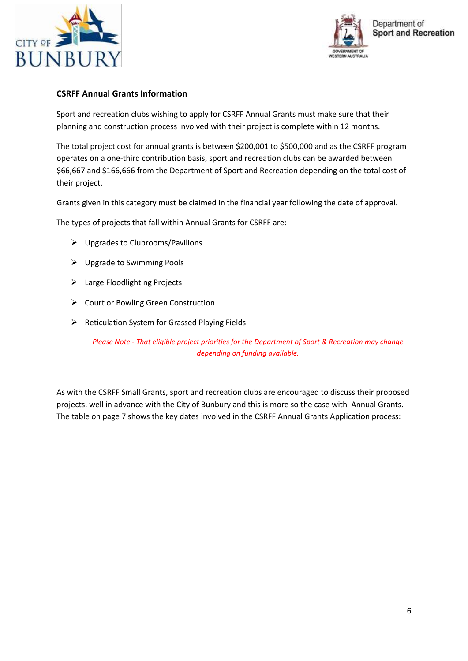



## **CSRFF Annual Grants Information**

Sport and recreation clubs wishing to apply for CSRFF Annual Grants must make sure that their planning and construction process involved with their project is complete within 12 months.

The total project cost for annual grants is between \$200,001 to \$500,000 and as the CSRFF program operates on a one-third contribution basis, sport and recreation clubs can be awarded between \$66,667 and \$166,666 from the Department of Sport and Recreation depending on the total cost of their project.

Grants given in this category must be claimed in the financial year following the date of approval.

The types of projects that fall within Annual Grants for CSRFF are:

- $\triangleright$  Upgrades to Clubrooms/Pavilions
- Upgrade to Swimming Pools
- > Large Floodlighting Projects
- ▶ Court or Bowling Green Construction
- $\triangleright$  Reticulation System for Grassed Playing Fields

*Please Note - That eligible project priorities for the Department of Sport & Recreation may change depending on funding available.*

As with the CSRFF Small Grants, sport and recreation clubs are encouraged to discuss their proposed projects, well in advance with the City of Bunbury and this is more so the case with Annual Grants. The table on page 7 shows the key dates involved in the CSRFF Annual Grants Application process: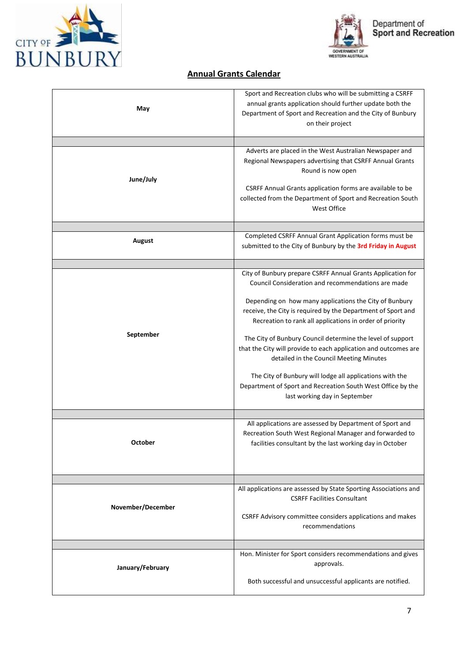



# GOVERNMENT OF<br>WESTERN AUSTRALIA

# **Annual Grants Calendar**

| May               | Sport and Recreation clubs who will be submitting a CSRFF<br>annual grants application should further update both the<br>Department of Sport and Recreation and the City of Bunbury<br>on their project                                                                                                                                                                                                                                                                                                                                                                                                                                         |
|-------------------|-------------------------------------------------------------------------------------------------------------------------------------------------------------------------------------------------------------------------------------------------------------------------------------------------------------------------------------------------------------------------------------------------------------------------------------------------------------------------------------------------------------------------------------------------------------------------------------------------------------------------------------------------|
| June/July         | Adverts are placed in the West Australian Newspaper and<br>Regional Newspapers advertising that CSRFF Annual Grants<br>Round is now open<br>CSRFF Annual Grants application forms are available to be<br>collected from the Department of Sport and Recreation South<br>West Office                                                                                                                                                                                                                                                                                                                                                             |
| August            | Completed CSRFF Annual Grant Application forms must be<br>submitted to the City of Bunbury by the 3rd Friday in August                                                                                                                                                                                                                                                                                                                                                                                                                                                                                                                          |
| September         | City of Bunbury prepare CSRFF Annual Grants Application for<br>Council Consideration and recommendations are made<br>Depending on how many applications the City of Bunbury<br>receive, the City is required by the Department of Sport and<br>Recreation to rank all applications in order of priority<br>The City of Bunbury Council determine the level of support<br>that the City will provide to each application and outcomes are<br>detailed in the Council Meeting Minutes<br>The City of Bunbury will lodge all applications with the<br>Department of Sport and Recreation South West Office by the<br>last working day in September |
| <b>October</b>    | All applications are assessed by Department of Sport and<br>Recreation South West Regional Manager and forwarded to<br>facilities consultant by the last working day in October                                                                                                                                                                                                                                                                                                                                                                                                                                                                 |
| November/December | All applications are assessed by State Sporting Associations and<br><b>CSRFF Facilities Consultant</b><br>CSRFF Advisory committee considers applications and makes<br>recommendations                                                                                                                                                                                                                                                                                                                                                                                                                                                          |
| January/February  | Hon. Minister for Sport considers recommendations and gives<br>approvals.<br>Both successful and unsuccessful applicants are notified.                                                                                                                                                                                                                                                                                                                                                                                                                                                                                                          |